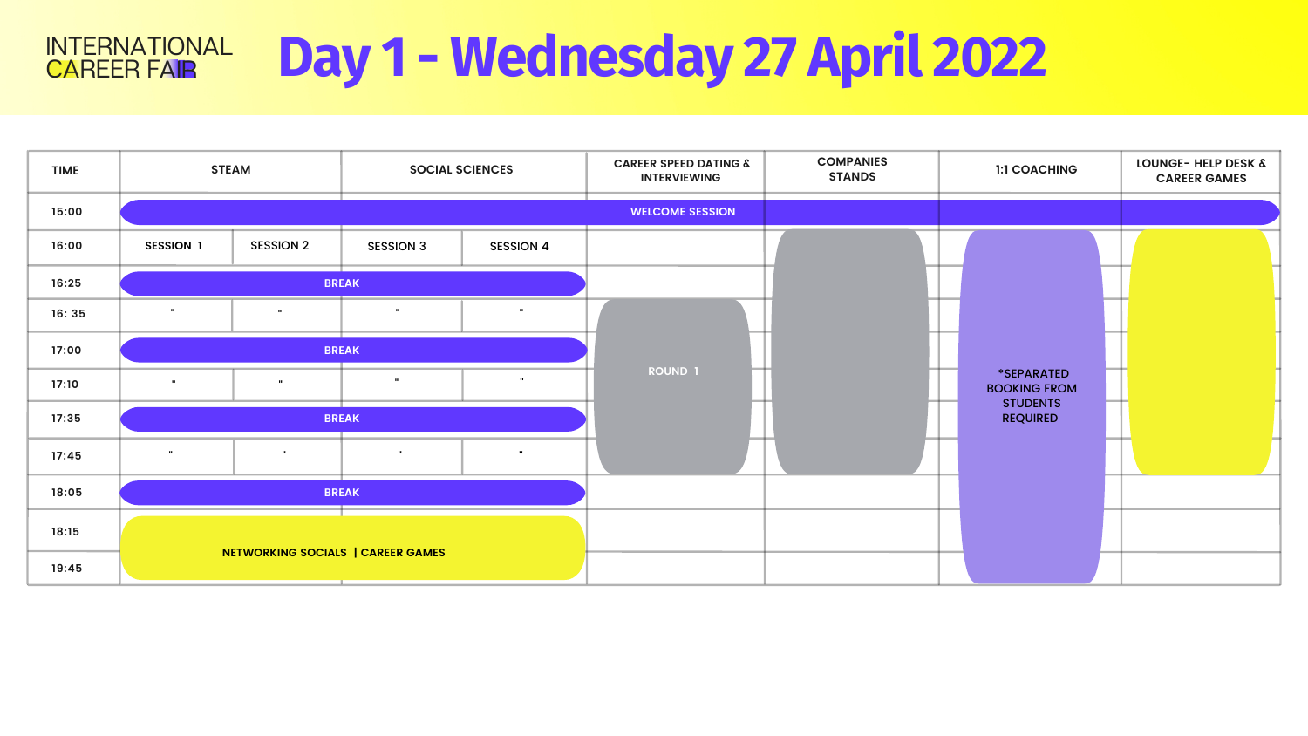## **Day 1 - Wednesday 27 April 2022** CAREER FAIR INTERNATIONAL

| <b>TIME</b> | <b>STEAM</b>                      |                  | <b>SOCIAL SCIENCES</b> |                  | <b>CAREER SPEED DATING &amp;</b><br><b>INTERVIEWING</b> | <b>COMPANIES</b><br><b>STANDS</b> | <b>1:1 COACHING</b>                | <b>LOUNGE- HELP DESK &amp;</b><br><b>CAREER GAMES</b> |
|-------------|-----------------------------------|------------------|------------------------|------------------|---------------------------------------------------------|-----------------------------------|------------------------------------|-------------------------------------------------------|
| 15:00       |                                   |                  |                        |                  | <b>WELCOME SESSION</b>                                  |                                   |                                    |                                                       |
| 16:00       | <b>SESSION 1</b>                  | <b>SESSION 2</b> | <b>SESSION 3</b>       | <b>SESSION 4</b> |                                                         |                                   |                                    |                                                       |
| 16:25       | <b>BREAK</b>                      |                  |                        |                  |                                                         |                                   |                                    |                                                       |
| 16:35       | $\mathbf{u}$                      |                  | $\mathbf{u}$           | $\mathbf{H}$ .   |                                                         |                                   |                                    |                                                       |
| 17:00       | <b>BREAK</b>                      |                  |                        |                  |                                                         |                                   |                                    |                                                       |
| 17:10       | $\mathbf{u}$                      | $\mathbf{u}$     | $\mathbf{u}$           | $\mathbf{u}$     | ROUND 1                                                 |                                   | *SEPARATED<br><b>BOOKING FROM</b>  |                                                       |
| 17:35       | <b>BREAK</b>                      |                  |                        |                  |                                                         |                                   | <b>STUDENTS</b><br><b>REQUIRED</b> |                                                       |
| 17:45       | $\mathbf{u}$                      |                  | $\mathbf{H}$ .         | $\mathbf{H}$ .   |                                                         |                                   |                                    |                                                       |
| 18:05       | <b>BREAK</b>                      |                  |                        |                  |                                                         |                                   |                                    |                                                       |
| 18:15       |                                   |                  |                        |                  |                                                         |                                   |                                    |                                                       |
| 19:45       | NETWORKING SOCIALS   CAREER GAMES |                  |                        |                  |                                                         |                                   |                                    |                                                       |

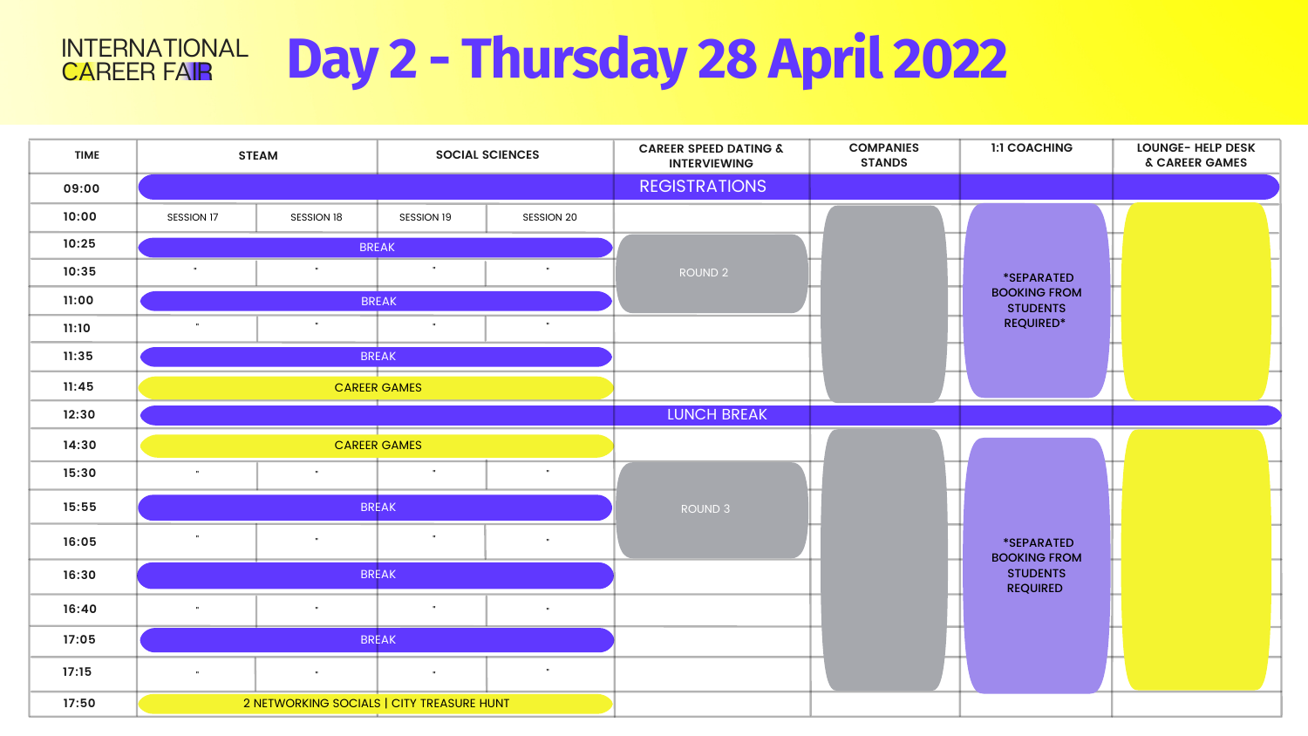| <b>TIME</b> |              | <b>STEAM</b>                              | <b>SOCIAL SCIENCES</b> |              | <b>CAREER SPEED DATING &amp;</b><br><b>INTERVIEWING</b> |
|-------------|--------------|-------------------------------------------|------------------------|--------------|---------------------------------------------------------|
| 09:00       |              |                                           |                        |              | <b>REGISTRATIONS</b>                                    |
| 10:00       | SESSION 17   | SESSION 18                                | SESSION 19             | SESSION 20   |                                                         |
| 10:25       |              |                                           |                        |              |                                                         |
| 10:35       | $\mathbf{u}$ | $\mathbf{u}$                              | $\mathbf u$            | $\mathbf{u}$ | ROUND <sub>2</sub>                                      |
| 11:00       |              |                                           |                        |              |                                                         |
| 11:10       | H            | $\mathbf{u}$                              | $\mathbf{u}$           | $\mathbf{u}$ |                                                         |
| 11:35       |              |                                           |                        |              |                                                         |
| 11:45       |              |                                           |                        |              |                                                         |
| 12:30       |              | <b>LUNCH BREAK</b>                        |                        |              |                                                         |
| 14:30       |              |                                           |                        |              |                                                         |
| 15:30       | $\mathbf{u}$ | $\mathbf{u}$                              | $\mathbf u$            | $\mathbf u$  |                                                         |
| 15:55       |              | ROUND <sub>3</sub>                        |                        |              |                                                         |
| 16:05       | $\mathbf u$  | $\mathbf{u}$                              | $\mathbf u$            | $\mathbf u$  |                                                         |
| 16:30       |              |                                           |                        |              |                                                         |
| 16:40       | H            | $\mathbf{u}$                              | $\mathbf u$            | $\mathbf u$  |                                                         |
| 17:05       |              |                                           | <b>BREAK</b>           |              |                                                         |
| 17:15       | H            |                                           |                        |              |                                                         |
| 17:50       |              | 2 NETWORKING SOCIALS   CITY TREASURE HUNT |                        |              |                                                         |

## **Day 2 - Thursday 28 April 2022** CAREER FAIR INTERNATIONAL